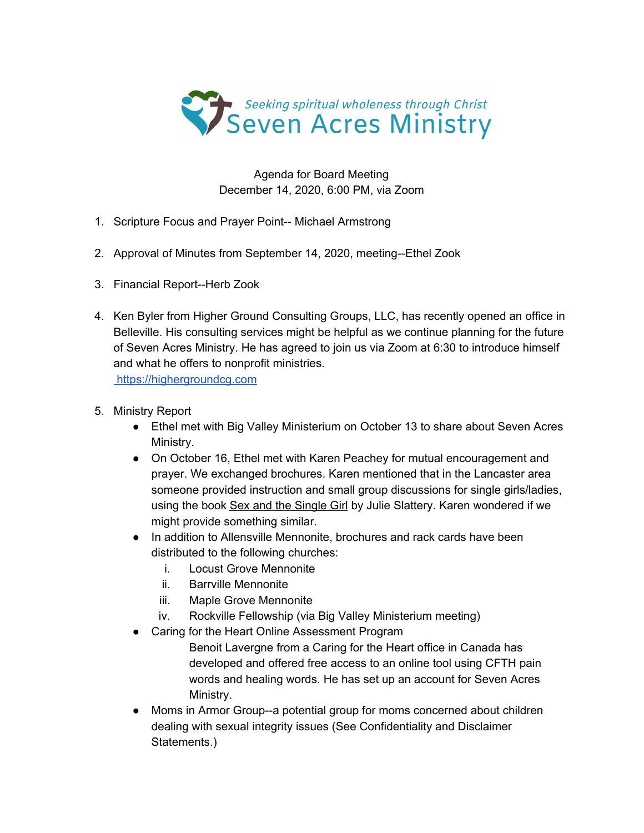

Agenda for Board Meeting December 14, 2020, 6:00 PM, via Zoom

- 1. Scripture Focus and Prayer Point-- Michael Armstrong
- 2. Approval of Minutes from September 14, 2020, meeting--Ethel Zook
- 3. Financial Report--Herb Zook
- 4. Ken Byler from Higher Ground Consulting Groups, LLC, has recently opened an office in Belleville. His consulting services might be helpful as we continue planning for the future of Seven Acres Ministry. He has agreed to join us via Zoom at 6:30 to introduce himself and what he offers to nonprofit ministries. [https://highergroundcg.com](https://highergroundcg.com/)
- 5. Ministry Report
	- Ethel met with Big Valley Ministerium on October 13 to share about Seven Acres Ministry.
	- On October 16, Ethel met with Karen Peachey for mutual encouragement and prayer. We exchanged brochures. Karen mentioned that in the Lancaster area someone provided instruction and small group discussions for single girls/ladies, using the book Sex and the Single Girl by Julie Slattery. Karen wondered if we might provide something similar.
	- In addition to Allensville Mennonite, brochures and rack cards have been distributed to the following churches:
		- i. Locust Grove Mennonite
		- ii. Barrville Mennonite
		- iii. Maple Grove Mennonite
		- iv. Rockville Fellowship (via Big Valley Ministerium meeting)
	- Caring for the Heart Online Assessment Program
		- Benoit Lavergne from a Caring for the Heart office in Canada has developed and offered free access to an online tool using CFTH pain words and healing words. He has set up an account for Seven Acres Ministry.
	- Moms in Armor Group--a potential group for moms concerned about children dealing with sexual integrity issues (See Confidentiality and Disclaimer Statements.)